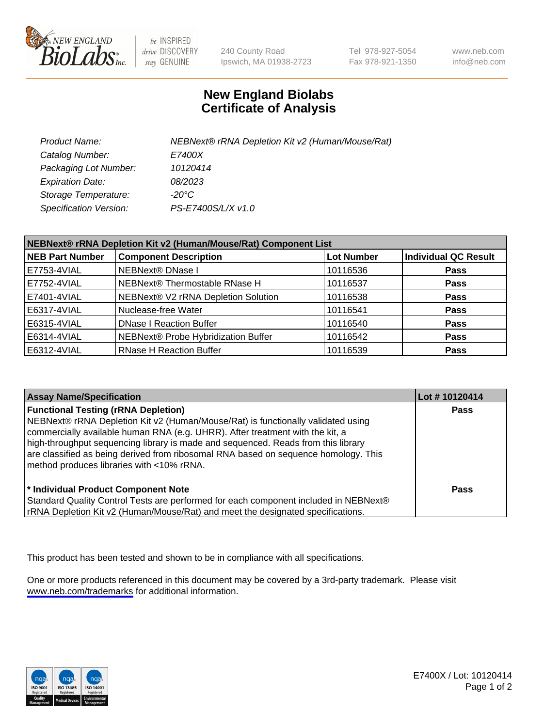

be INSPIRED drive DISCOVERY stay GENUINE

240 County Road Ipswich, MA 01938-2723 Tel 978-927-5054 Fax 978-921-1350

www.neb.com info@neb.com

## **New England Biolabs Certificate of Analysis**

| Product Name:                 | NEBNext® rRNA Depletion Kit v2 (Human/Mouse/Rat) |
|-------------------------------|--------------------------------------------------|
| Catalog Number:               | <i>E7400X</i>                                    |
| Packaging Lot Number:         | 10120414                                         |
| <b>Expiration Date:</b>       | 08/2023                                          |
| Storage Temperature:          | -20°C                                            |
| <b>Specification Version:</b> | PS-E7400S/L/X v1.0                               |

| NEBNext® rRNA Depletion Kit v2 (Human/Mouse/Rat) Component List |                                     |                   |                             |  |
|-----------------------------------------------------------------|-------------------------------------|-------------------|-----------------------------|--|
| <b>NEB Part Number</b>                                          | <b>Component Description</b>        | <b>Lot Number</b> | <b>Individual QC Result</b> |  |
| E7753-4VIAL                                                     | <b>NEBNext® DNase I</b>             | 10116536          | <b>Pass</b>                 |  |
| E7752-4VIAL                                                     | NEBNext® Thermostable RNase H       | 10116537          | <b>Pass</b>                 |  |
| E7401-4VIAL                                                     | NEBNext® V2 rRNA Depletion Solution | 10116538          | <b>Pass</b>                 |  |
| E6317-4VIAL                                                     | Nuclease-free Water                 | 10116541          | <b>Pass</b>                 |  |
| E6315-4VIAL                                                     | <b>DNase I Reaction Buffer</b>      | 10116540          | <b>Pass</b>                 |  |
| E6314-4VIAL                                                     | NEBNext® Probe Hybridization Buffer | 10116542          | <b>Pass</b>                 |  |
| E6312-4VIAL                                                     | <b>RNase H Reaction Buffer</b>      | 10116539          | <b>Pass</b>                 |  |

| <b>Assay Name/Specification</b>                                                                                                                                                                                                                                                                                                                                                                                                          | Lot #10120414 |
|------------------------------------------------------------------------------------------------------------------------------------------------------------------------------------------------------------------------------------------------------------------------------------------------------------------------------------------------------------------------------------------------------------------------------------------|---------------|
| <b>Functional Testing (rRNA Depletion)</b><br>NEBNext® rRNA Depletion Kit v2 (Human/Mouse/Rat) is functionally validated using<br>commercially available human RNA (e.g. UHRR). After treatment with the kit, a<br>high-throughput sequencing library is made and sequenced. Reads from this library<br>are classified as being derived from ribosomal RNA based on sequence homology. This<br>method produces libraries with <10% rRNA. | <b>Pass</b>   |
| * Individual Product Component Note<br>Standard Quality Control Tests are performed for each component included in NEBNext®<br>rRNA Depletion Kit v2 (Human/Mouse/Rat) and meet the designated specifications.                                                                                                                                                                                                                           | Pass          |

This product has been tested and shown to be in compliance with all specifications.

One or more products referenced in this document may be covered by a 3rd-party trademark. Please visit <www.neb.com/trademarks>for additional information.